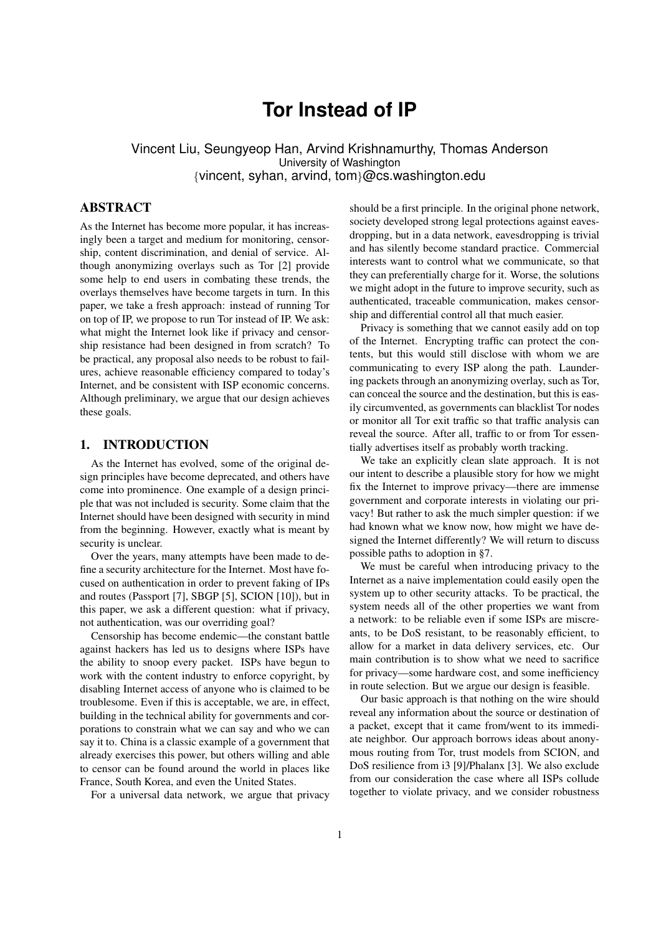# **Tor Instead of IP**

Vincent Liu, Seungyeop Han, Arvind Krishnamurthy, Thomas Anderson University of Washington {vincent, syhan, arvind, tom}@cs.washington.edu

## ABSTRACT

As the Internet has become more popular, it has increasingly been a target and medium for monitoring, censorship, content discrimination, and denial of service. Although anonymizing overlays such as Tor [2] provide some help to end users in combating these trends, the overlays themselves have become targets in turn. In this paper, we take a fresh approach: instead of running Tor on top of IP, we propose to run Tor instead of IP. We ask: what might the Internet look like if privacy and censorship resistance had been designed in from scratch? To be practical, any proposal also needs to be robust to failures, achieve reasonable efficiency compared to today's Internet, and be consistent with ISP economic concerns. Although preliminary, we argue that our design achieves these goals.

#### 1. INTRODUCTION

As the Internet has evolved, some of the original design principles have become deprecated, and others have come into prominence. One example of a design principle that was not included is security. Some claim that the Internet should have been designed with security in mind from the beginning. However, exactly what is meant by security is unclear.

Over the years, many attempts have been made to define a security architecture for the Internet. Most have focused on authentication in order to prevent faking of IPs and routes (Passport [7], SBGP [5], SCION [10]), but in this paper, we ask a different question: what if privacy, not authentication, was our overriding goal?

Censorship has become endemic—the constant battle against hackers has led us to designs where ISPs have the ability to snoop every packet. ISPs have begun to work with the content industry to enforce copyright, by disabling Internet access of anyone who is claimed to be troublesome. Even if this is acceptable, we are, in effect, building in the technical ability for governments and corporations to constrain what we can say and who we can say it to. China is a classic example of a government that already exercises this power, but others willing and able to censor can be found around the world in places like France, South Korea, and even the United States.

For a universal data network, we argue that privacy

should be a first principle. In the original phone network, society developed strong legal protections against eavesdropping, but in a data network, eavesdropping is trivial and has silently become standard practice. Commercial interests want to control what we communicate, so that they can preferentially charge for it. Worse, the solutions we might adopt in the future to improve security, such as authenticated, traceable communication, makes censorship and differential control all that much easier.

Privacy is something that we cannot easily add on top of the Internet. Encrypting traffic can protect the contents, but this would still disclose with whom we are communicating to every ISP along the path. Laundering packets through an anonymizing overlay, such as Tor, can conceal the source and the destination, but this is easily circumvented, as governments can blacklist Tor nodes or monitor all Tor exit traffic so that traffic analysis can reveal the source. After all, traffic to or from Tor essentially advertises itself as probably worth tracking.

We take an explicitly clean slate approach. It is not our intent to describe a plausible story for how we might fix the Internet to improve privacy—there are immense government and corporate interests in violating our privacy! But rather to ask the much simpler question: if we had known what we know now, how might we have designed the Internet differently? We will return to discuss possible paths to adoption in §7.

We must be careful when introducing privacy to the Internet as a naive implementation could easily open the system up to other security attacks. To be practical, the system needs all of the other properties we want from a network: to be reliable even if some ISPs are miscreants, to be DoS resistant, to be reasonably efficient, to allow for a market in data delivery services, etc. Our main contribution is to show what we need to sacrifice for privacy—some hardware cost, and some inefficiency in route selection. But we argue our design is feasible.

Our basic approach is that nothing on the wire should reveal any information about the source or destination of a packet, except that it came from/went to its immediate neighbor. Our approach borrows ideas about anonymous routing from Tor, trust models from SCION, and DoS resilience from i3 [9]/Phalanx [3]. We also exclude from our consideration the case where all ISPs collude together to violate privacy, and we consider robustness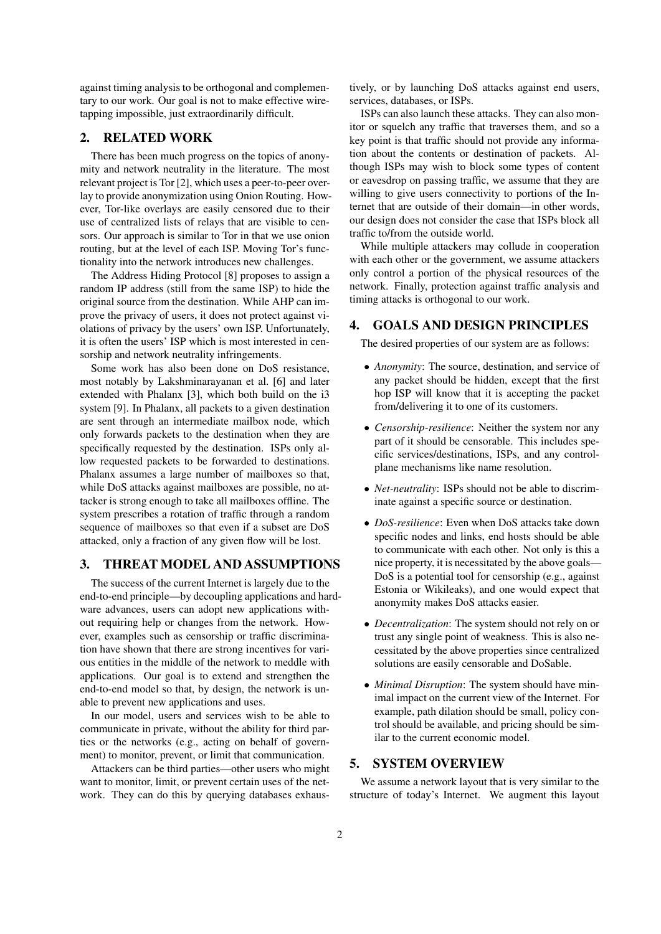against timing analysis to be orthogonal and complementary to our work. Our goal is not to make effective wiretapping impossible, just extraordinarily difficult.

#### 2. RELATED WORK

There has been much progress on the topics of anonymity and network neutrality in the literature. The most relevant project is Tor [2], which uses a peer-to-peer overlay to provide anonymization using Onion Routing. However, Tor-like overlays are easily censored due to their use of centralized lists of relays that are visible to censors. Our approach is similar to Tor in that we use onion routing, but at the level of each ISP. Moving Tor's functionality into the network introduces new challenges.

The Address Hiding Protocol [8] proposes to assign a random IP address (still from the same ISP) to hide the original source from the destination. While AHP can improve the privacy of users, it does not protect against violations of privacy by the users' own ISP. Unfortunately, it is often the users' ISP which is most interested in censorship and network neutrality infringements.

Some work has also been done on DoS resistance, most notably by Lakshminarayanan et al. [6] and later extended with Phalanx [3], which both build on the i3 system [9]. In Phalanx, all packets to a given destination are sent through an intermediate mailbox node, which only forwards packets to the destination when they are specifically requested by the destination. ISPs only allow requested packets to be forwarded to destinations. Phalanx assumes a large number of mailboxes so that, while DoS attacks against mailboxes are possible, no attacker is strong enough to take all mailboxes offline. The system prescribes a rotation of traffic through a random sequence of mailboxes so that even if a subset are DoS attacked, only a fraction of any given flow will be lost.

## 3. THREAT MODEL AND ASSUMPTIONS

The success of the current Internet is largely due to the end-to-end principle—by decoupling applications and hardware advances, users can adopt new applications without requiring help or changes from the network. However, examples such as censorship or traffic discrimination have shown that there are strong incentives for various entities in the middle of the network to meddle with applications. Our goal is to extend and strengthen the end-to-end model so that, by design, the network is unable to prevent new applications and uses.

In our model, users and services wish to be able to communicate in private, without the ability for third parties or the networks (e.g., acting on behalf of government) to monitor, prevent, or limit that communication.

Attackers can be third parties—other users who might want to monitor, limit, or prevent certain uses of the network. They can do this by querying databases exhaus-

tively, or by launching DoS attacks against end users, services, databases, or ISPs.

ISPs can also launch these attacks. They can also monitor or squelch any traffic that traverses them, and so a key point is that traffic should not provide any information about the contents or destination of packets. Although ISPs may wish to block some types of content or eavesdrop on passing traffic, we assume that they are willing to give users connectivity to portions of the Internet that are outside of their domain—in other words, our design does not consider the case that ISPs block all traffic to/from the outside world.

While multiple attackers may collude in cooperation with each other or the government, we assume attackers only control a portion of the physical resources of the network. Finally, protection against traffic analysis and timing attacks is orthogonal to our work.

#### 4. GOALS AND DESIGN PRINCIPLES

The desired properties of our system are as follows:

- *Anonymity*: The source, destination, and service of any packet should be hidden, except that the first hop ISP will know that it is accepting the packet from/delivering it to one of its customers.
- *Censorship-resilience*: Neither the system nor any part of it should be censorable. This includes specific services/destinations, ISPs, and any controlplane mechanisms like name resolution.
- *Net-neutrality*: ISPs should not be able to discriminate against a specific source or destination.
- *DoS-resilience*: Even when DoS attacks take down specific nodes and links, end hosts should be able to communicate with each other. Not only is this a nice property, it is necessitated by the above goals— DoS is a potential tool for censorship (e.g., against Estonia or Wikileaks), and one would expect that anonymity makes DoS attacks easier.
- *Decentralization*: The system should not rely on or trust any single point of weakness. This is also necessitated by the above properties since centralized solutions are easily censorable and DoSable.
- *Minimal Disruption*: The system should have minimal impact on the current view of the Internet. For example, path dilation should be small, policy control should be available, and pricing should be similar to the current economic model.

### 5. SYSTEM OVERVIEW

We assume a network layout that is very similar to the structure of today's Internet. We augment this layout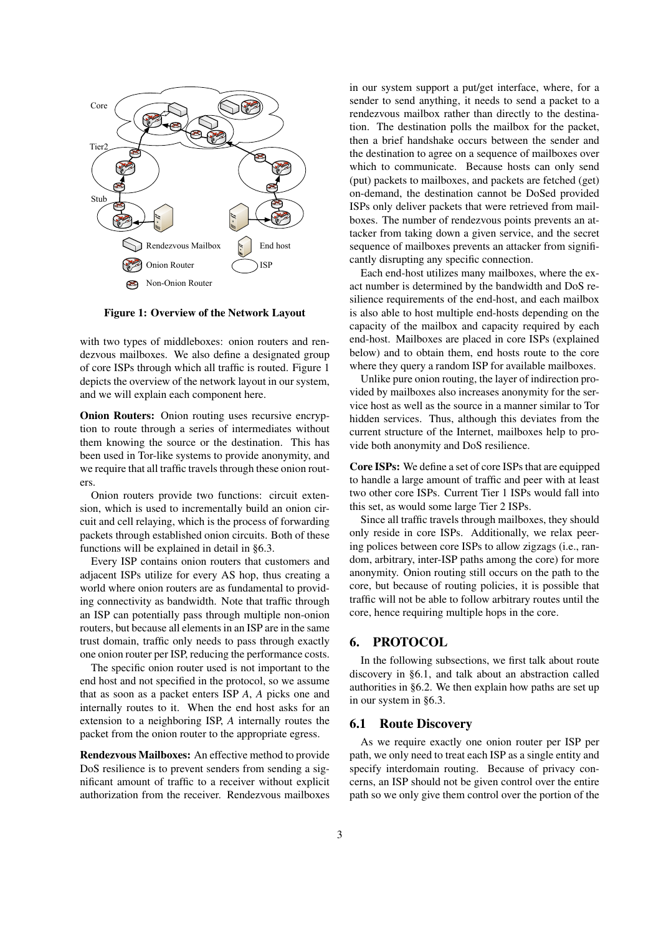

Figure 1: Overview of the Network Layout

with two types of middleboxes: onion routers and rendezvous mailboxes. We also define a designated group of core ISPs through which all traffic is routed. Figure 1 depicts the overview of the network layout in our system, and we will explain each component here.

Onion Routers: Onion routing uses recursive encryption to route through a series of intermediates without them knowing the source or the destination. This has been used in Tor-like systems to provide anonymity, and we require that all traffic travels through these onion routers.

Onion routers provide two functions: circuit extension, which is used to incrementally build an onion circuit and cell relaying, which is the process of forwarding packets through established onion circuits. Both of these functions will be explained in detail in §6.3.

Every ISP contains onion routers that customers and adjacent ISPs utilize for every AS hop, thus creating a world where onion routers are as fundamental to providing connectivity as bandwidth. Note that traffic through an ISP can potentially pass through multiple non-onion routers, but because all elements in an ISP are in the same trust domain, traffic only needs to pass through exactly one onion router per ISP, reducing the performance costs.

The specific onion router used is not important to the end host and not specified in the protocol, so we assume that as soon as a packet enters ISP *A*, *A* picks one and internally routes to it. When the end host asks for an extension to a neighboring ISP, *A* internally routes the packet from the onion router to the appropriate egress.

Rendezvous Mailboxes: An effective method to provide DoS resilience is to prevent senders from sending a significant amount of traffic to a receiver without explicit authorization from the receiver. Rendezvous mailboxes

in our system support a put/get interface, where, for a sender to send anything, it needs to send a packet to a rendezvous mailbox rather than directly to the destination. The destination polls the mailbox for the packet, then a brief handshake occurs between the sender and the destination to agree on a sequence of mailboxes over which to communicate. Because hosts can only send (put) packets to mailboxes, and packets are fetched (get) on-demand, the destination cannot be DoSed provided ISPs only deliver packets that were retrieved from mailboxes. The number of rendezvous points prevents an attacker from taking down a given service, and the secret sequence of mailboxes prevents an attacker from significantly disrupting any specific connection.

Each end-host utilizes many mailboxes, where the exact number is determined by the bandwidth and DoS resilience requirements of the end-host, and each mailbox is also able to host multiple end-hosts depending on the capacity of the mailbox and capacity required by each end-host. Mailboxes are placed in core ISPs (explained below) and to obtain them, end hosts route to the core where they query a random ISP for available mailboxes.

Unlike pure onion routing, the layer of indirection provided by mailboxes also increases anonymity for the service host as well as the source in a manner similar to Tor hidden services. Thus, although this deviates from the current structure of the Internet, mailboxes help to provide both anonymity and DoS resilience.

Core ISPs: We define a set of core ISPs that are equipped to handle a large amount of traffic and peer with at least two other core ISPs. Current Tier 1 ISPs would fall into this set, as would some large Tier 2 ISPs.

Since all traffic travels through mailboxes, they should only reside in core ISPs. Additionally, we relax peering polices between core ISPs to allow zigzags (i.e., random, arbitrary, inter-ISP paths among the core) for more anonymity. Onion routing still occurs on the path to the core, but because of routing policies, it is possible that traffic will not be able to follow arbitrary routes until the core, hence requiring multiple hops in the core.

## 6. PROTOCOL

In the following subsections, we first talk about route discovery in §6.1, and talk about an abstraction called authorities in §6.2. We then explain how paths are set up in our system in §6.3.

#### 6.1 Route Discovery

As we require exactly one onion router per ISP per path, we only need to treat each ISP as a single entity and specify interdomain routing. Because of privacy concerns, an ISP should not be given control over the entire path so we only give them control over the portion of the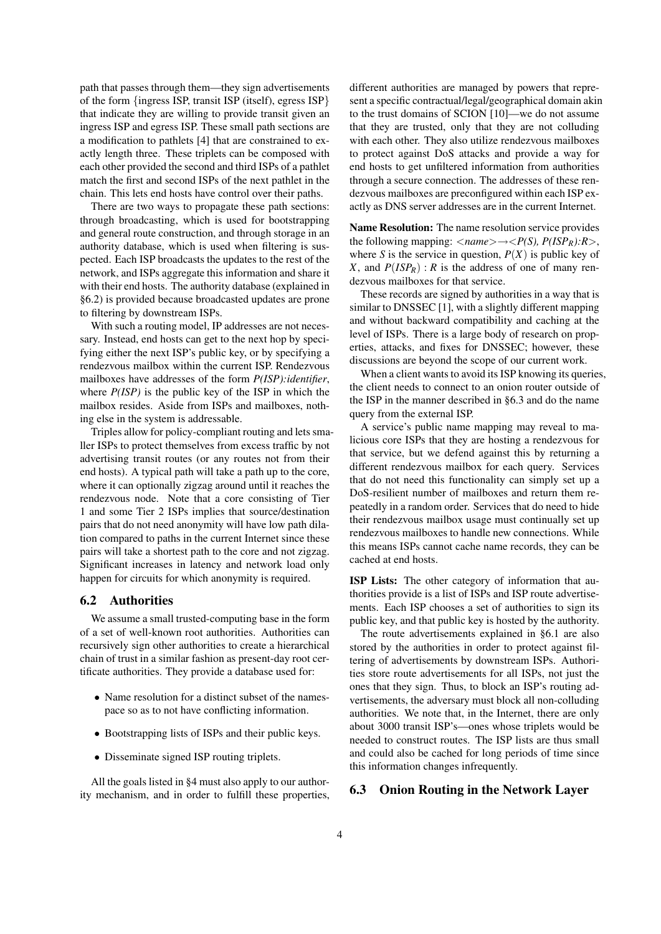path that passes through them—they sign advertisements of the form {ingress ISP, transit ISP (itself), egress ISP} that indicate they are willing to provide transit given an ingress ISP and egress ISP. These small path sections are a modification to pathlets [4] that are constrained to exactly length three. These triplets can be composed with each other provided the second and third ISPs of a pathlet match the first and second ISPs of the next pathlet in the chain. This lets end hosts have control over their paths.

There are two ways to propagate these path sections: through broadcasting, which is used for bootstrapping and general route construction, and through storage in an authority database, which is used when filtering is suspected. Each ISP broadcasts the updates to the rest of the network, and ISPs aggregate this information and share it with their end hosts. The authority database (explained in §6.2) is provided because broadcasted updates are prone to filtering by downstream ISPs.

With such a routing model, IP addresses are not necessary. Instead, end hosts can get to the next hop by specifying either the next ISP's public key, or by specifying a rendezvous mailbox within the current ISP. Rendezvous mailboxes have addresses of the form *P(ISP):identifier*, where *P(ISP)* is the public key of the ISP in which the mailbox resides. Aside from ISPs and mailboxes, nothing else in the system is addressable.

Triples allow for policy-compliant routing and lets smaller ISPs to protect themselves from excess traffic by not advertising transit routes (or any routes not from their end hosts). A typical path will take a path up to the core, where it can optionally zigzag around until it reaches the rendezvous node. Note that a core consisting of Tier 1 and some Tier 2 ISPs implies that source/destination pairs that do not need anonymity will have low path dilation compared to paths in the current Internet since these pairs will take a shortest path to the core and not zigzag. Significant increases in latency and network load only happen for circuits for which anonymity is required.

#### 6.2 Authorities

We assume a small trusted-computing base in the form of a set of well-known root authorities. Authorities can recursively sign other authorities to create a hierarchical chain of trust in a similar fashion as present-day root certificate authorities. They provide a database used for:

- Name resolution for a distinct subset of the namespace so as to not have conflicting information.
- Bootstrapping lists of ISPs and their public keys.
- Disseminate signed ISP routing triplets.

All the goals listed in §4 must also apply to our authority mechanism, and in order to fulfill these properties, different authorities are managed by powers that represent a specific contractual/legal/geographical domain akin to the trust domains of SCION [10]—we do not assume that they are trusted, only that they are not colluding with each other. They also utilize rendezvous mailboxes to protect against DoS attacks and provide a way for end hosts to get unfiltered information from authorities through a secure connection. The addresses of these rendezvous mailboxes are preconfigured within each ISP exactly as DNS server addresses are in the current Internet.

Name Resolution: The name resolution service provides the following mapping:  $\langle name \rangle \rightarrow \langle P(S), P(ISP_R):R \rangle$ , where *S* is the service in question,  $P(X)$  is public key of *X*, and  $P(ISP_R)$ : *R* is the address of one of many rendezvous mailboxes for that service.

These records are signed by authorities in a way that is similar to DNSSEC [1], with a slightly different mapping and without backward compatibility and caching at the level of ISPs. There is a large body of research on properties, attacks, and fixes for DNSSEC; however, these discussions are beyond the scope of our current work.

When a client wants to avoid its ISP knowing its queries, the client needs to connect to an onion router outside of the ISP in the manner described in §6.3 and do the name query from the external ISP.

A service's public name mapping may reveal to malicious core ISPs that they are hosting a rendezvous for that service, but we defend against this by returning a different rendezvous mailbox for each query. Services that do not need this functionality can simply set up a DoS-resilient number of mailboxes and return them repeatedly in a random order. Services that do need to hide their rendezvous mailbox usage must continually set up rendezvous mailboxes to handle new connections. While this means ISPs cannot cache name records, they can be cached at end hosts.

ISP Lists: The other category of information that authorities provide is a list of ISPs and ISP route advertisements. Each ISP chooses a set of authorities to sign its public key, and that public key is hosted by the authority.

The route advertisements explained in §6.1 are also stored by the authorities in order to protect against filtering of advertisements by downstream ISPs. Authorities store route advertisements for all ISPs, not just the ones that they sign. Thus, to block an ISP's routing advertisements, the adversary must block all non-colluding authorities. We note that, in the Internet, there are only about 3000 transit ISP's—ones whose triplets would be needed to construct routes. The ISP lists are thus small and could also be cached for long periods of time since this information changes infrequently.

#### 6.3 Onion Routing in the Network Layer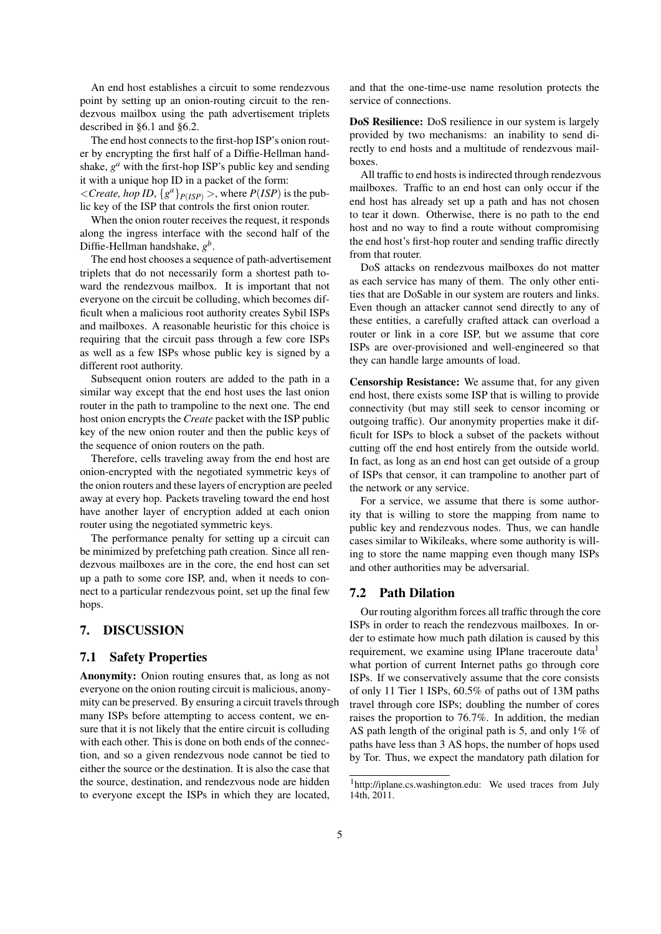An end host establishes a circuit to some rendezvous point by setting up an onion-routing circuit to the rendezvous mailbox using the path advertisement triplets described in §6.1 and §6.2.

The end host connects to the first-hop ISP's onion router by encrypting the first half of a Diffie-Hellman handshake,  $g^a$  with the first-hop ISP's public key and sending it with a unique hop ID in a packet of the form:

<*Create, hop ID,*  $\{g^a\}_{P(ISP)}$  >, where *P*(*ISP*) is the public key of the ISP that controls the first onion router.

When the onion router receives the request, it responds along the ingress interface with the second half of the Diffie-Hellman handshake, *g b* .

The end host chooses a sequence of path-advertisement triplets that do not necessarily form a shortest path toward the rendezvous mailbox. It is important that not everyone on the circuit be colluding, which becomes difficult when a malicious root authority creates Sybil ISPs and mailboxes. A reasonable heuristic for this choice is requiring that the circuit pass through a few core ISPs as well as a few ISPs whose public key is signed by a different root authority.

Subsequent onion routers are added to the path in a similar way except that the end host uses the last onion router in the path to trampoline to the next one. The end host onion encrypts the *Create* packet with the ISP public key of the new onion router and then the public keys of the sequence of onion routers on the path.

Therefore, cells traveling away from the end host are onion-encrypted with the negotiated symmetric keys of the onion routers and these layers of encryption are peeled away at every hop. Packets traveling toward the end host have another layer of encryption added at each onion router using the negotiated symmetric keys.

The performance penalty for setting up a circuit can be minimized by prefetching path creation. Since all rendezvous mailboxes are in the core, the end host can set up a path to some core ISP, and, when it needs to connect to a particular rendezvous point, set up the final few hops.

## 7. DISCUSSION

#### 7.1 Safety Properties

Anonymity: Onion routing ensures that, as long as not everyone on the onion routing circuit is malicious, anonymity can be preserved. By ensuring a circuit travels through many ISPs before attempting to access content, we ensure that it is not likely that the entire circuit is colluding with each other. This is done on both ends of the connection, and so a given rendezvous node cannot be tied to either the source or the destination. It is also the case that the source, destination, and rendezvous node are hidden to everyone except the ISPs in which they are located,

and that the one-time-use name resolution protects the service of connections.

DoS Resilience: DoS resilience in our system is largely provided by two mechanisms: an inability to send directly to end hosts and a multitude of rendezvous mailboxes.

All traffic to end hosts is indirected through rendezvous mailboxes. Traffic to an end host can only occur if the end host has already set up a path and has not chosen to tear it down. Otherwise, there is no path to the end host and no way to find a route without compromising the end host's first-hop router and sending traffic directly from that router.

DoS attacks on rendezvous mailboxes do not matter as each service has many of them. The only other entities that are DoSable in our system are routers and links. Even though an attacker cannot send directly to any of these entities, a carefully crafted attack can overload a router or link in a core ISP, but we assume that core ISPs are over-provisioned and well-engineered so that they can handle large amounts of load.

Censorship Resistance: We assume that, for any given end host, there exists some ISP that is willing to provide connectivity (but may still seek to censor incoming or outgoing traffic). Our anonymity properties make it difficult for ISPs to block a subset of the packets without cutting off the end host entirely from the outside world. In fact, as long as an end host can get outside of a group of ISPs that censor, it can trampoline to another part of the network or any service.

For a service, we assume that there is some authority that is willing to store the mapping from name to public key and rendezvous nodes. Thus, we can handle cases similar to Wikileaks, where some authority is willing to store the name mapping even though many ISPs and other authorities may be adversarial.

#### 7.2 Path Dilation

Our routing algorithm forces all traffic through the core ISPs in order to reach the rendezvous mailboxes. In order to estimate how much path dilation is caused by this requirement, we examine using IPlane traceroute data<sup>1</sup> what portion of current Internet paths go through core ISPs. If we conservatively assume that the core consists of only 11 Tier 1 ISPs, 60.5% of paths out of 13M paths travel through core ISPs; doubling the number of cores raises the proportion to 76.7%. In addition, the median AS path length of the original path is 5, and only 1% of paths have less than 3 AS hops, the number of hops used by Tor. Thus, we expect the mandatory path dilation for

<sup>&</sup>lt;sup>1</sup>http://iplane.cs.washington.edu: We used traces from July 14th, 2011.